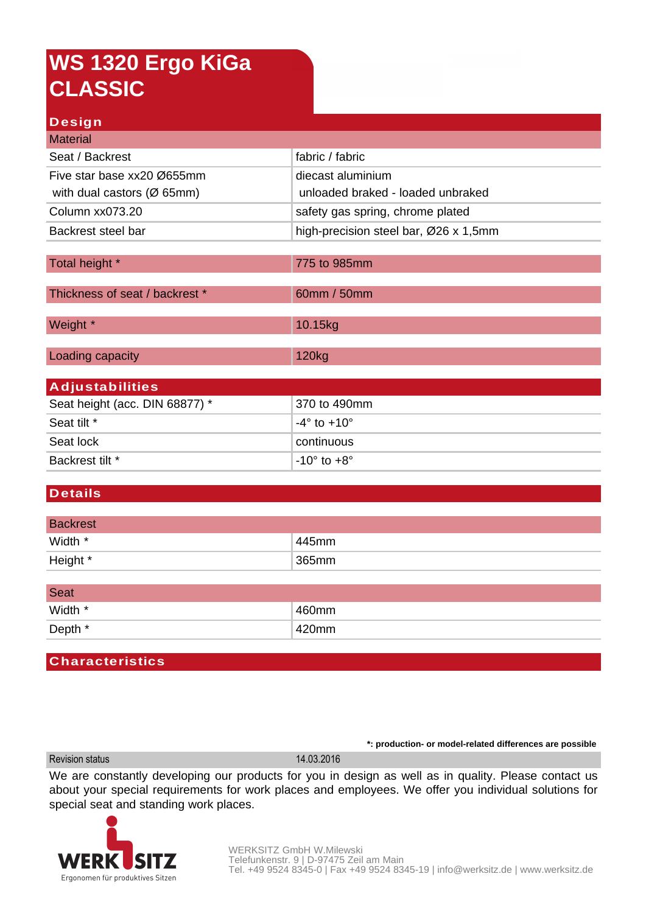# **WS 1320 Ergo KiGa CLASSIC**

### **Design**

| <b>Material</b>                         |                                       |  |
|-----------------------------------------|---------------------------------------|--|
| Seat / Backrest                         | fabric / fabric                       |  |
| Five star base xx20 Ø655mm              | diecast aluminium                     |  |
| with dual castors ( $\varnothing$ 65mm) | unloaded braked - loaded unbraked     |  |
| Column xx073.20                         | safety gas spring, chrome plated      |  |
| Backrest steel bar                      | high-precision steel bar, Ø26 x 1,5mm |  |
|                                         |                                       |  |
| Total height *                          | 775 to 985mm                          |  |
| Thickness of seat / backrest *          | 60mm / 50mm                           |  |
| Weight *                                | 10.15kg                               |  |
| Loading capacity                        | 120 <sub>kg</sub>                     |  |
| <b>Adjustabilities</b>                  |                                       |  |
| Seat height (acc. DIN 68877) *          | 370 to 490mm                          |  |
| Seat tilt *                             | $-4^\circ$ to $+10^\circ$             |  |
| Seat lock                               | continuous                            |  |
| Backrest tilt *                         | $-10^\circ$ to $+8^\circ$             |  |

#### **Details**

| <b>Backrest</b> |           |
|-----------------|-----------|
| Width *         | $1445$ mm |
| Height *        | 365mm     |

| <b>Seat</b> |          |
|-------------|----------|
| Width *     | $460$ mm |
| Depth *     | 420mm    |

#### **Characteristics**

Revision status 14.03.2016

**\*: production- or model-related differences are possible**

We are constantly developing our products for you in design as well as in quality. Please contact us about your special requirements for work places and employees. We offer you individual solutions for special seat and standing work places.